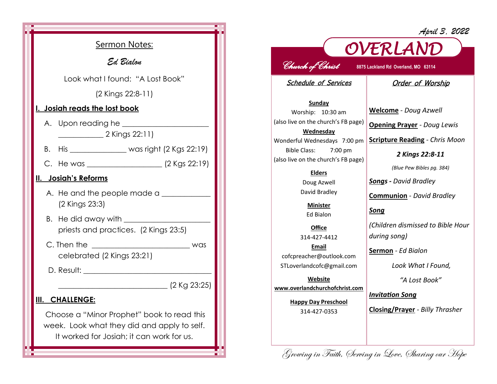| Sermon Notes:<br>Ed Bialon<br>Look what I found: "A Lost Book"<br>(2 Kings 22:8-11)<br>I. Josiah reads the lost book                   |
|----------------------------------------------------------------------------------------------------------------------------------------|
|                                                                                                                                        |
|                                                                                                                                        |
|                                                                                                                                        |
|                                                                                                                                        |
|                                                                                                                                        |
| $\frac{1}{2}$ Xings 22:11)                                                                                                             |
| B. His __________________ was right (2 Kgs 22:19)                                                                                      |
|                                                                                                                                        |
| II. Josiah's Reforms                                                                                                                   |
| A. He and the people made a<br>(2 Kings 23:3)                                                                                          |
| priests and practices. (2 Kings 23:5)                                                                                                  |
| celebrated (2 Kings 23:21)                                                                                                             |
|                                                                                                                                        |
| <u>2 Kg 23:25</u>                                                                                                                      |
| III. CHALLENGE:                                                                                                                        |
| Choose a "Minor Prophet" book to read this<br>week. Look what they did and apply to self.<br>It worked for Josiah; it can work for us. |

## *April 3, 2022*



## *Church of Christ* **8875 Lackland Rd Overland, MO 63114**

Schedule of Services

**Sunday** Worship: 10:30 am (also live on the church's FB page) **Wednesday** Wonderful Wednesdays 7:00 pm Bible Class: 7:00 pm (also live on the church's FB page)

## **Elders** Doug Azwell

David Bradley

**Minister** Ed Bialon

**Office** 314-427-4412 **Email** cofcpreacher@outlook.com STLoverlandcofc@gmail.com

**Website www.overlandchurchofchrist.com**

> **Happy Day Preschool** 314-427-0353

**Welcome** *- Doug Azwell*

**Opening Prayer** *- Doug Lewis*

**Scripture Reading** *- Chris Moon*

Order of Worship

*2 Kings 22:8-11*

*(Blue Pew Bibles pg. 384)*

*Songs - David Bradley*

**Communion** *- David Bradley*

*Song*

*(Children dismissed to Bible Hour during song)*

**Sermon** *- Ed Bialon*

*Look What I Found,* 

*"A Lost Book"*

*Invitation Song*

**Closing/Prayer** *- Billy Thrasher*

Growing in Faith, Serving in Love, Sharing our Hope